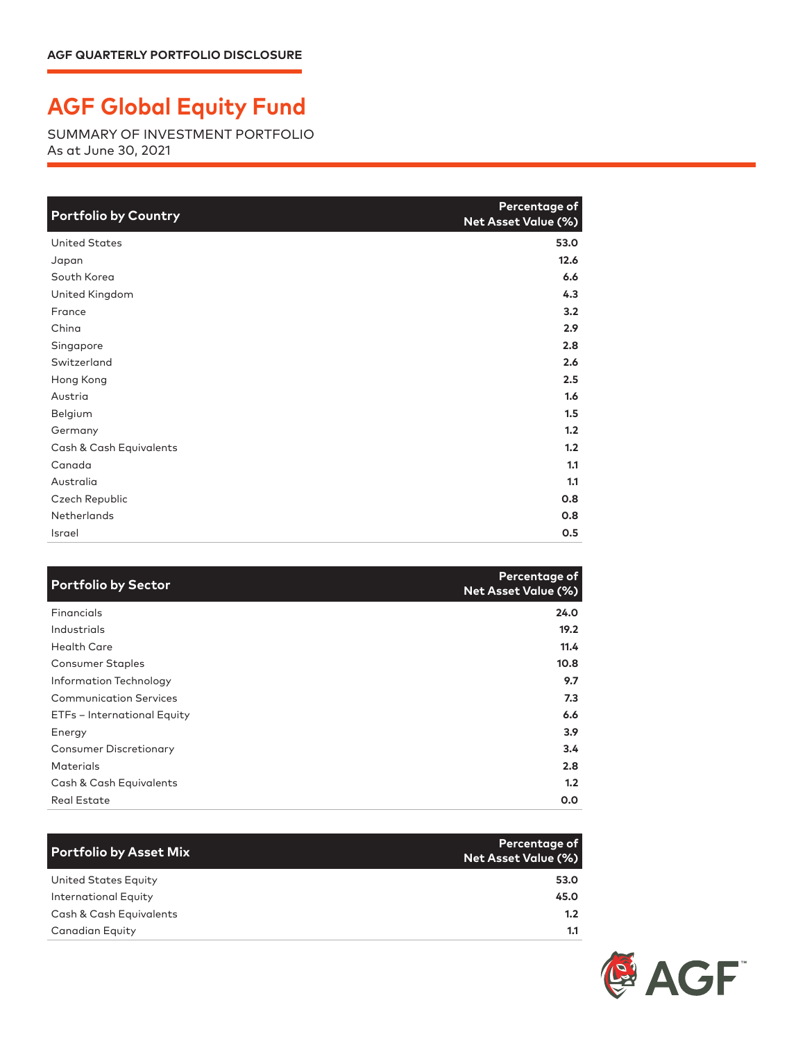## **AGF Global Equity Fund**

SUMMARY OF INVESTMENT PORTFOLIO As at June 30, 2021

| <b>Portfolio by Country</b> | Percentage of<br>Net Asset Value (%) |
|-----------------------------|--------------------------------------|
| <b>United States</b>        | 53.0                                 |
| Japan                       | 12.6                                 |
| South Korea                 | 6.6                                  |
| United Kingdom              | 4.3                                  |
| France                      | 3.2                                  |
| China                       | 2.9                                  |
| Singapore                   | 2.8                                  |
| Switzerland                 | 2.6                                  |
| Hong Kong                   | 2.5                                  |
| Austria                     | 1.6                                  |
| Belgium                     | 1.5                                  |
| Germany                     | 1.2                                  |
| Cash & Cash Equivalents     | 1.2                                  |
| Canada                      | 1.1                                  |
| Australia                   | 1.1                                  |
| Czech Republic              | 0.8                                  |
| Netherlands                 | 0.8                                  |
| <b>Israel</b>               | 0.5                                  |

| <b>Portfolio by Sector</b>    | Percentage of<br><b>Net Asset Value (%)</b> |
|-------------------------------|---------------------------------------------|
| Financials                    | 24.0                                        |
| Industrials                   | 19.2                                        |
| <b>Health Care</b>            | 11.4                                        |
| <b>Consumer Staples</b>       | 10.8                                        |
| Information Technology        | 9.7                                         |
| <b>Communication Services</b> | 7.3                                         |
| ETFs - International Equity   | 6.6                                         |
| Energy                        | 3.9 <sup>2</sup>                            |
| <b>Consumer Discretionary</b> | $3.4^{\circ}$                               |
| <b>Materials</b>              | 2.8                                         |
| Cash & Cash Equivalents       | 1.2                                         |
| <b>Real Estate</b>            | 0.0                                         |

| Portfolio by Asset Mix      | Percentage of<br>Net Asset Value (%) |
|-----------------------------|--------------------------------------|
| United States Equity        | 53.0                                 |
| <b>International Equity</b> | 45.0                                 |
| Cash & Cash Equivalents     | 1.2                                  |
| <b>Canadian Equity</b>      | 1.1                                  |